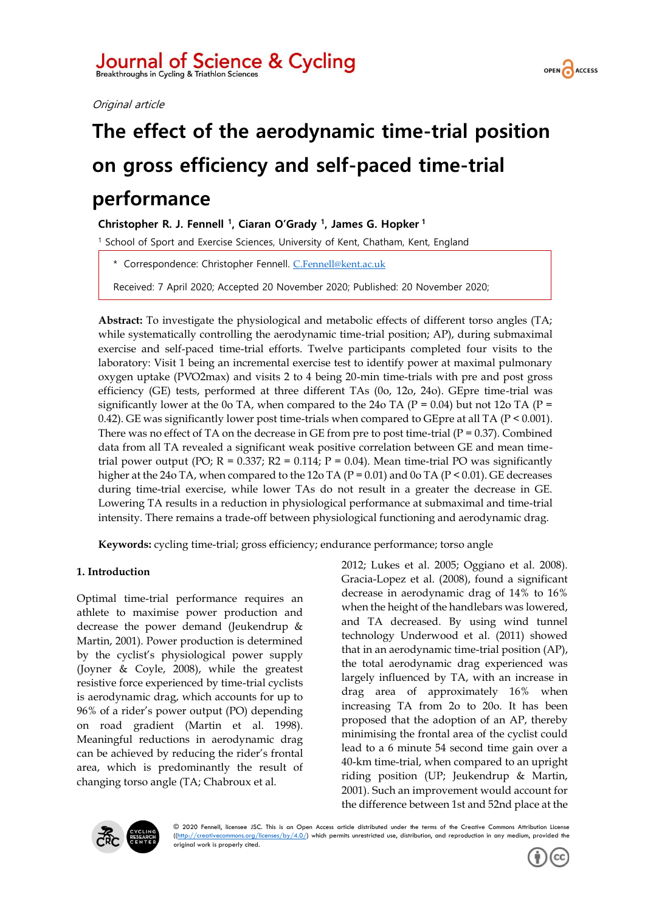# Journal of Science & Cycling

Original article



## **The effect of the aerodynamic time-trial position on gross efficiency and self-paced time-trial performance**

**Christopher R. J. Fennell <sup>1</sup> , Ciaran O'Grady <sup>1</sup> , James G. Hopker <sup>1</sup>**

<sup>1</sup> School of Sport and Exercise Sciences, University of Kent, Chatham, Kent, England

\* Correspondence: Christopher Fennell. [C.Fennell@kent.ac.uk](mailto:C.Fennell@kent.ac.uk)

Received: 7 April 2020; Accepted 20 November 2020; Published: 20 November 2020;

**Abstract:** To investigate the physiological and metabolic effects of different torso angles (TA; while systematically controlling the aerodynamic time-trial position; AP), during submaximal exercise and self-paced time-trial efforts. Twelve participants completed four visits to the laboratory: Visit 1 being an incremental exercise test to identify power at maximal pulmonary oxygen uptake (PV̇O2max) and visits 2 to 4 being 20-min time-trials with pre and post gross efficiency (GE) tests, performed at three different TAs (0o, 12o, 24o). GEpre time-trial was significantly lower at the 0o TA, when compared to the 24o TA ( $P = 0.04$ ) but not 12o TA ( $P =$ 0.42). GE was significantly lower post time-trials when compared to GEpre at all TA (P < 0.001). There was no effect of TA on the decrease in GE from pre to post time-trial  $(P = 0.37)$ . Combined data from all TA revealed a significant weak positive correlation between GE and mean timetrial power output (PO;  $R = 0.337$ ;  $R2 = 0.114$ ;  $P = 0.04$ ). Mean time-trial PO was significantly higher at the 24o TA, when compared to the 12o TA (P = 0.01) and 0o TA (P < 0.01). GE decreases during time-trial exercise, while lower TAs do not result in a greater the decrease in GE. Lowering TA results in a reduction in physiological performance at submaximal and time-trial intensity. There remains a trade-off between physiological functioning and aerodynamic drag.

**Keywords:** cycling time-trial; gross efficiency; endurance performance; torso angle

## **1. Introduction**

Optimal time-trial performance requires an athlete to maximise power production and decrease the power demand (Jeukendrup & Martin, 2001). Power production is determined by the cyclist's physiological power supply (Joyner & Coyle, 2008), while the greatest resistive force experienced by time-trial cyclists is aerodynamic drag, which accounts for up to 96% of a rider's power output (PO) depending on road gradient (Martin et al. 1998). Meaningful reductions in aerodynamic drag can be achieved by reducing the rider's frontal area, which is predominantly the result of changing torso angle (TA; Chabroux et al.

2012; Lukes et al. 2005; Oggiano et al. 2008). Gracia-Lopez et al. (2008), found a significant decrease in aerodynamic drag of 14% to 16% when the height of the handlebars was lowered, and TA decreased. By using wind tunnel technology Underwood et al. (2011) showed that in an aerodynamic time-trial position (AP), the total aerodynamic drag experienced was largely influenced by TA, with an increase in drag area of approximately 16% when increasing TA from 2o to 20o. It has been proposed that the adoption of an AP, thereby minimising the frontal area of the cyclist could lead to a 6 minute 54 second time gain over a 40-km time-trial, when compared to an upright riding position (UP; Jeukendrup & Martin, 2001). Such an improvement would account for the difference between 1st and 52nd place at the



© 2020 Fennell, licensee JSC. This is an Open Access article distributed under the terms of the Creative Commons Attribution License  $(\text{[http://creativecommons.org/licenses/by/4.0/">\n/)(\text{irtp:}/\text{``creativecommons.org/licenses/by/4.0/}\n/})$  which permits unrestricted use, distribution, and reproduction in any medium, provided the original work is properly cited.

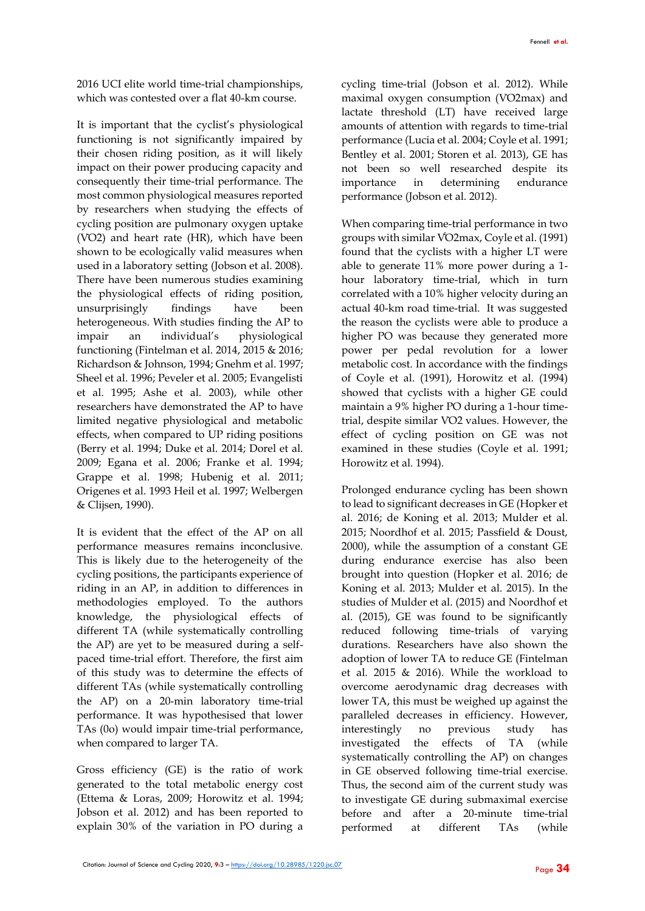2016 UCI elite world time-trial championships, which was contested over a flat 40-km course.

It is important that the cyclist's physiological functioning is not significantly impaired by their chosen riding position, as it will likely impact on their power producing capacity and consequently their time-trial performance. The most common physiological measures reported by researchers when studying the effects of cycling position are pulmonary oxygen uptake (V̇O2) and heart rate (HR), which have been shown to be ecologically valid measures when used in a laboratory setting (Jobson et al. 2008). There have been numerous studies examining the physiological effects of riding position, unsurprisingly findings have been heterogeneous. With studies finding the AP to impair an individual's physiological functioning (Fintelman et al. 2014, 2015 & 2016; Richardson & Johnson, 1994; Gnehm et al. 1997; Sheel et al. 1996; Peveler et al. 2005; Evangelisti et al. 1995; Ashe et al. 2003), while other researchers have demonstrated the AP to have limited negative physiological and metabolic effects, when compared to UP riding positions (Berry et al. 1994; Duke et al. 2014; Dorel et al. 2009; Egana et al. 2006; Franke et al. 1994; Grappe et al. 1998; Hubenig et al. 2011; Origenes et al. 1993 Heil et al. 1997; Welbergen & Clijsen, 1990).

It is evident that the effect of the AP on all performance measures remains inconclusive. This is likely due to the heterogeneity of the cycling positions, the participants experience of riding in an AP, in addition to differences in methodologies employed. To the authors knowledge, the physiological effects of different TA (while systematically controlling the AP) are yet to be measured during a selfpaced time-trial effort. Therefore, the first aim of this study was to determine the effects of different TAs (while systematically controlling the AP) on a 20-min laboratory time-trial performance. It was hypothesised that lower TAs (0o) would impair time-trial performance, when compared to larger TA.

Gross efficiency (GE) is the ratio of work generated to the total metabolic energy cost (Ettema & Loras, 2009; Horowitz et al. 1994; Jobson et al. 2012) and has been reported to explain 30% of the variation in PO during a

cycling time-trial (Jobson et al. 2012). While maximal oxygen consumption (V̇O2max) and lactate threshold (LT) have received large amounts of attention with regards to time-trial performance (Lucia et al. 2004; Coyle et al. 1991; Bentley et al. 2001; Storen et al. 2013), GE has not been so well researched despite its importance in determining endurance performance (Jobson et al. 2012).

When comparing time-trial performance in two groups with similar V̇ ̇O2max, Coyle et al. (1991) found that the cyclists with a higher LT were able to generate 11% more power during a 1 hour laboratory time-trial, which in turn correlated with a 10% higher velocity during an actual 40-km road time-trial. It was suggested the reason the cyclists were able to produce a higher PO was because they generated more power per pedal revolution for a lower metabolic cost. In accordance with the findings of Coyle et al. (1991), Horowitz et al. (1994) showed that cyclists with a higher GE could maintain a 9% higher PO during a 1-hour timetrial, despite similar V̇O2 values. However, the effect of cycling position on GE was not examined in these studies (Coyle et al. 1991; Horowitz et al. 1994).

Prolonged endurance cycling has been shown to lead to significant decreases in GE (Hopker et al. 2016; de Koning et al. 2013; Mulder et al. 2015; Noordhof et al. 2015; Passfield & Doust, 2000), while the assumption of a constant GE during endurance exercise has also been brought into question (Hopker et al. 2016; de Koning et al. 2013; Mulder et al. 2015). In the studies of Mulder et al. (2015) and Noordhof et al. (2015), GE was found to be significantly reduced following time-trials of varying durations. Researchers have also shown the adoption of lower TA to reduce GE (Fintelman et al. 2015 & 2016). While the workload to overcome aerodynamic drag decreases with lower TA, this must be weighed up against the paralleled decreases in efficiency. However, interestingly no previous study has investigated the effects of TA (while systematically controlling the AP) on changes in GE observed following time-trial exercise. Thus, the second aim of the current study was to investigate GE during submaximal exercise before and after a 20-minute time-trial performed at different TAs (while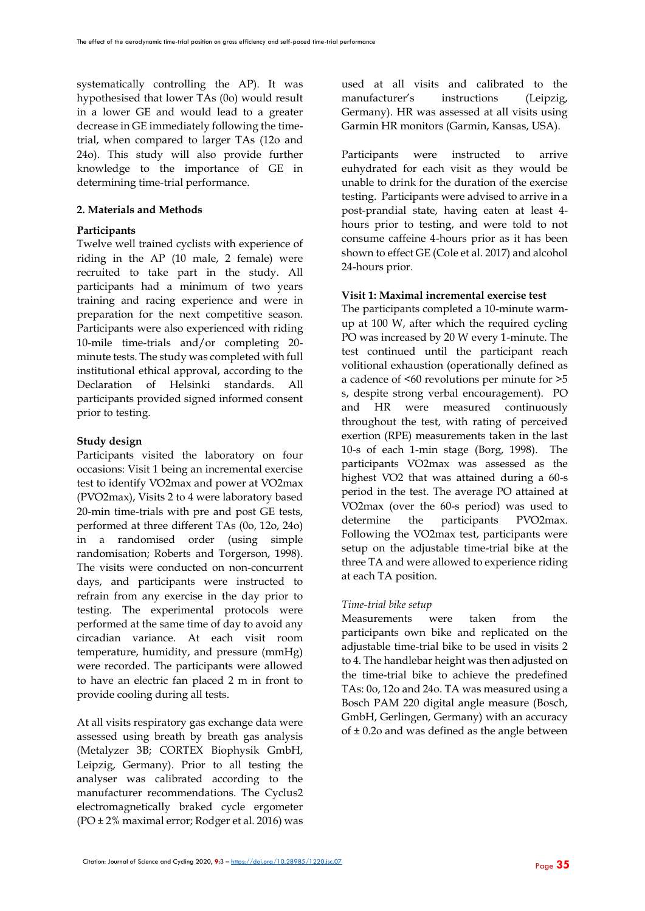systematically controlling the AP). It was hypothesised that lower TAs (0o) would result in a lower GE and would lead to a greater decrease in GE immediately following the timetrial, when compared to larger TAs (12o and 24o). This study will also provide further knowledge to the importance of GE in determining time-trial performance.

#### **2. Materials and Methods**

#### **Participants**

Twelve well trained cyclists with experience of riding in the AP (10 male, 2 female) were recruited to take part in the study. All participants had a minimum of two years training and racing experience and were in preparation for the next competitive season. Participants were also experienced with riding 10-mile time-trials and/or completing 20 minute tests. The study was completed with full institutional ethical approval, according to the Declaration of Helsinki standards. All participants provided signed informed consent prior to testing.

#### **Study design**

Participants visited the laboratory on four occasions: Visit 1 being an incremental exercise test to identify V̇O2max and power at V̇O2max (PV̇O2max), Visits 2 to 4 were laboratory based 20-min time-trials with pre and post GE tests, performed at three different TAs (0o, 12o, 24o) in a randomised order (using simple randomisation; Roberts and Torgerson, 1998). The visits were conducted on non-concurrent days, and participants were instructed to refrain from any exercise in the day prior to testing. The experimental protocols were performed at the same time of day to avoid any circadian variance. At each visit room temperature, humidity, and pressure (mmHg) were recorded. The participants were allowed to have an electric fan placed 2 m in front to provide cooling during all tests.

At all visits respiratory gas exchange data were assessed using breath by breath gas analysis (Metalyzer 3B; CORTEX Biophysik GmbH, Leipzig, Germany). Prior to all testing the analyser was calibrated according to the manufacturer recommendations. The Cyclus2 electromagnetically braked cycle ergometer (PO ± 2% maximal error; Rodger et al. 2016) was

used at all visits and calibrated to the manufacturer's instructions (Leipzig, Germany). HR was assessed at all visits using Garmin HR monitors (Garmin, Kansas, USA).

Participants were instructed to arrive euhydrated for each visit as they would be unable to drink for the duration of the exercise testing. Participants were advised to arrive in a post-prandial state, having eaten at least 4 hours prior to testing, and were told to not consume caffeine 4-hours prior as it has been shown to effect GE (Cole et al. 2017) and alcohol 24-hours prior.

#### **Visit 1: Maximal incremental exercise test**

The participants completed a 10-minute warmup at 100 W, after which the required cycling PO was increased by 20 W every 1-minute. The test continued until the participant reach volitional exhaustion (operationally defined as a cadence of <60 revolutions per minute for >5 s, despite strong verbal encouragement). PO and HR were measured continuously throughout the test, with rating of perceived exertion (RPE) measurements taken in the last 10-s of each 1-min stage (Borg, 1998). The participants V̇O2max was assessed as the highest V̇O2 that was attained during a 60-s period in the test. The average PO attained at V̇O2max (over the 60-s period) was used to determine the participants PV̇O2max. Following the V̇O2max test, participants were setup on the adjustable time-trial bike at the three TA and were allowed to experience riding at each TA position.

#### *Time-trial bike setup*

Measurements were taken from the participants own bike and replicated on the adjustable time-trial bike to be used in visits 2 to 4. The handlebar height was then adjusted on the time-trial bike to achieve the predefined TAs: 0o, 12o and 24o. TA was measured using a Bosch PAM 220 digital angle measure (Bosch, GmbH, Gerlingen, Germany) with an accuracy of  $\pm$  0.2o and was defined as the angle between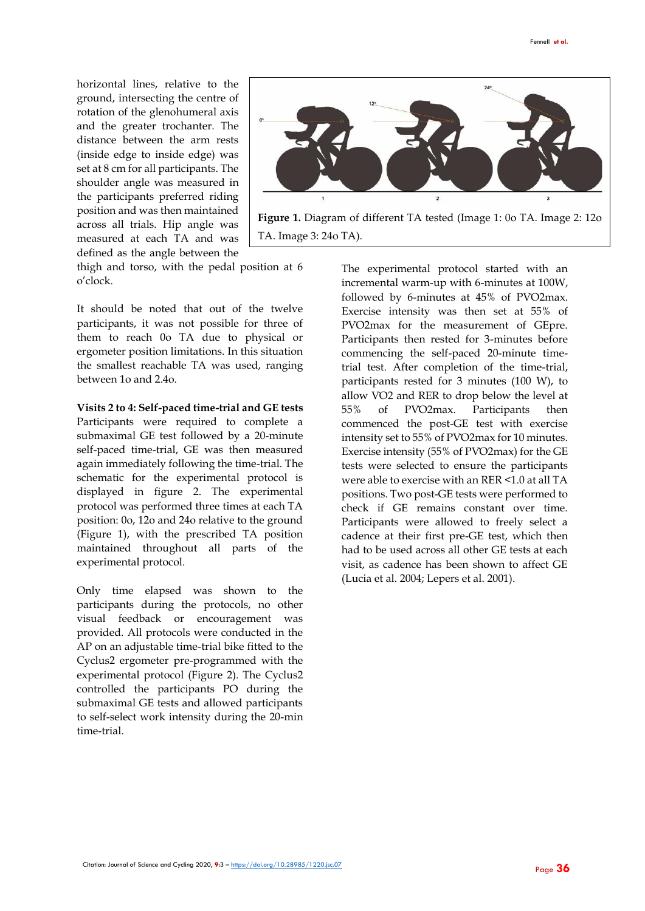horizontal lines, relative to the ground, intersecting the centre of rotation of the glenohumeral axis and the greater trochanter. The distance between the arm rests (inside edge to inside edge) was set at 8 cm for all participants. The shoulder angle was measured in the participants preferred riding position and was then maintained across all trials. Hip angle was measured at each TA and was defined as the angle between the



**Figure 1.** Diagram of different TA tested (Image 1: 0o TA. Image 2: 12o TA. Image 3: 24o TA).

thigh and torso, with the pedal position at 6 o'clock.

It should be noted that out of the twelve participants, it was not possible for three of them to reach 0o TA due to physical or ergometer position limitations. In this situation the smallest reachable TA was used, ranging between 1o and 2.4o.

**Visits 2 to 4: Self-paced time-trial and GE tests**

Participants were required to complete a submaximal GE test followed by a 20-minute self-paced time-trial, GE was then measured again immediately following the time-trial. The schematic for the experimental protocol is displayed in figure 2. The experimental protocol was performed three times at each TA position: 0o, 12o and 24o relative to the ground (Figure 1), with the prescribed TA position maintained throughout all parts of the experimental protocol.

Only time elapsed was shown to the participants during the protocols, no other visual feedback or encouragement was provided. All protocols were conducted in the AP on an adjustable time-trial bike fitted to the Cyclus2 ergometer pre-programmed with the experimental protocol (Figure 2). The Cyclus2 controlled the participants PO during the submaximal GE tests and allowed participants to self-select work intensity during the 20-min time-trial.

The experimental protocol started with an incremental warm-up with 6-minutes at 100W, followed by 6-minutes at 45% of PV̇O2max. Exercise intensity was then set at 55% of PV̇O2max for the measurement of GEpre. Participants then rested for 3-minutes before commencing the self-paced 20-minute timetrial test. After completion of the time-trial, participants rested for 3 minutes (100 W), to allow V̇O2 and RER to drop below the level at 55% of PV̇O2max. Participants then commenced the post-GE test with exercise intensity set to 55% of PV̇O2max for 10 minutes. Exercise intensity (55% of PV̇O2max) for the GE tests were selected to ensure the participants were able to exercise with an RER <1.0 at all TA positions. Two post-GE tests were performed to check if GE remains constant over time. Participants were allowed to freely select a cadence at their first pre-GE test, which then had to be used across all other GE tests at each visit, as cadence has been shown to affect GE (Lucia et al. 2004; Lepers et al. 2001).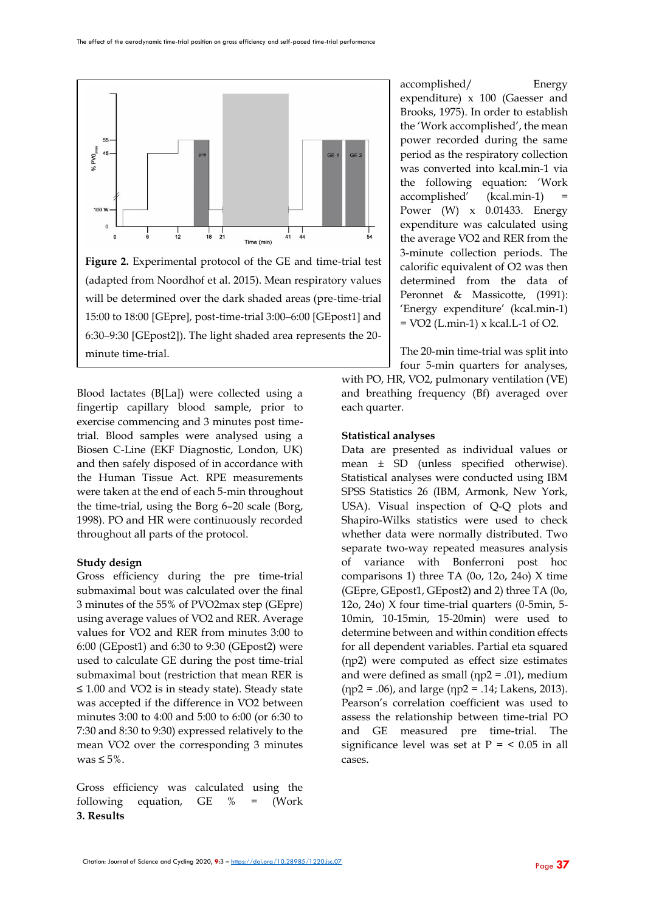

**Figure 2.** Experimental protocol of the GE and time-trial test (adapted from Noordhof et al. 2015). Mean respiratory values will be determined over the dark shaded areas (pre-time-trial 15:00 to 18:00 [GEpre], post-time-trial 3:00–6:00 [GEpost1] and 6:30–9:30 [GEpost2]). The light shaded area represents the 20 minute time-trial.

Blood lactates (B[La]) were collected using a fingertip capillary blood sample, prior to exercise commencing and 3 minutes post timetrial. Blood samples were analysed using a Biosen C-Line (EKF Diagnostic, London, UK) and then safely disposed of in accordance with the Human Tissue Act. RPE measurements were taken at the end of each 5-min throughout the time-trial, using the Borg 6–20 scale (Borg, 1998). PO and HR were continuously recorded throughout all parts of the protocol.

#### **Study design**

Gross efficiency during the pre time-trial submaximal bout was calculated over the final 3 minutes of the 55% of PV̇O2max step (GEpre) using average values of V̇O2 and RER. Average values for V̇O2 and RER from minutes 3:00 to 6:00 (GEpost1) and 6:30 to 9:30 (GEpost2) were used to calculate GE during the post time-trial submaximal bout (restriction that mean RER is ≤ 1.00 and V̇O2 is in steady state). Steady state was accepted if the difference in V̇O2 between minutes 3:00 to 4:00 and 5:00 to 6:00 (or 6:30 to 7:30 and 8:30 to 9:30) expressed relatively to the mean V̇O2 over the corresponding 3 minutes was  $\leq 5\%$ .

Gross efficiency was calculated using the following equation, GE % = (Work **3. Results**

accomplished/ Energy expenditure) x 100 (Gaesser and Brooks, 1975). In order to establish the 'Work accomplished', the mean power recorded during the same period as the respiratory collection was converted into kcal.min-1 via the following equation: 'Work accomplished' (kcal.min-1) Power (W) x 0.01433. Energy expenditure was calculated using the average V̇O2 and RER from the 3-minute collection periods. The calorific equivalent of O2 was then determined from the data of Peronnet & Massicotte, (1991): 'Energy expenditure' (kcal.min-1)  $=$  VO2 (L.min-1) x kcal. L-1 of O2.

The 20-min time-trial was split into

four 5-min quarters for analyses, with PO, HR, VO2, pulmonary ventilation (VE) and breathing frequency (Bf) averaged over each quarter.

#### **Statistical analyses**

Data are presented as individual values or mean ± SD (unless specified otherwise). Statistical analyses were conducted using IBM SPSS Statistics 26 (IBM, Armonk, New York, USA). Visual inspection of Q-Q plots and Shapiro-Wilks statistics were used to check whether data were normally distributed. Two separate two-way repeated measures analysis of variance with Bonferroni post hoc comparisons 1) three TA (0o, 12o, 24o) X time (GEpre, GEpost1, GEpost2) and 2) three TA (0o, 12o, 24o) X four time-trial quarters (0-5min, 5- 10min, 10-15min, 15-20min) were used to determine between and within condition effects for all dependent variables. Partial eta squared (ηp2) were computed as effect size estimates and were defined as small ( $np2 = .01$ ), medium  $(np2 = .06)$ , and large  $(np2 = .14$ ; Lakens, 2013). Pearson's correlation coefficient was used to assess the relationship between time-trial PO and GE measured pre time-trial. The significance level was set at  $P = < 0.05$  in all cases.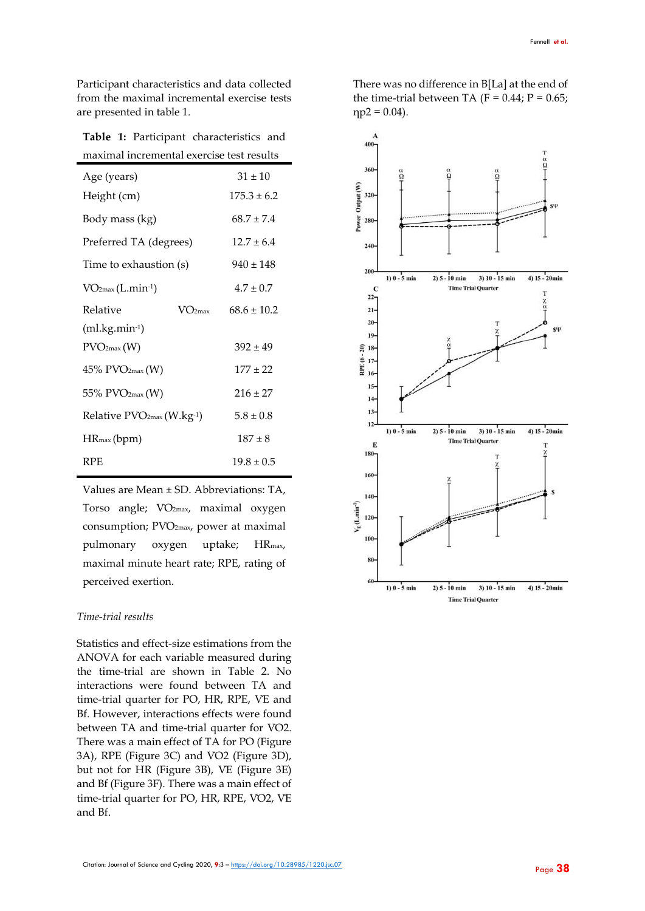Participant characteristics and data collected from the maximal incremental exercise tests are presented in table 1.

**Table 1:** Participant characteristics and maximal incremental exercise test results

| Age (years)                           | $31 + 10$       |  |  |  |  |  |  |
|---------------------------------------|-----------------|--|--|--|--|--|--|
| Height (cm)                           | $175.3 \pm 6.2$ |  |  |  |  |  |  |
| Body mass (kg)                        | $68.7 \pm 7.4$  |  |  |  |  |  |  |
| Preferred TA (degrees)                | $12.7 \pm 6.4$  |  |  |  |  |  |  |
| Time to exhaustion (s)                | $940 \pm 148$   |  |  |  |  |  |  |
| $VO2max (L.min-1)$                    | $4.7 \pm 0.7$   |  |  |  |  |  |  |
| Relative<br>$V\Omega_{\text{max}}$    | $68.6 + 10.2$   |  |  |  |  |  |  |
| $(ml.kg.min-1)$                       |                 |  |  |  |  |  |  |
| PVO <sub>2max</sub> (W)               | $392 + 49$      |  |  |  |  |  |  |
| $45\%$ PVO <sub>2max</sub> (W)        | $177 \pm 22$    |  |  |  |  |  |  |
| 55% PVO <sub>2max</sub> (W)           | $216 + 27$      |  |  |  |  |  |  |
| Relative PVO <sub>2max</sub> (W.kg-1) | $5.8 \pm 0.8$   |  |  |  |  |  |  |
| $HR_{max}(bpm)$                       | $187 \pm 8$     |  |  |  |  |  |  |
| <b>RPE</b>                            | $19.8 + 0.5$    |  |  |  |  |  |  |

Values are Mean ± SD. Abbreviations: TA, Torso angle; V̇O2max, maximal oxygen consumption; PV̇O2max, power at maximal pulmonary oxygen uptake; HRmax, maximal minute heart rate; RPE, rating of perceived exertion.

#### *Time-trial results*

Statistics and effect-size estimations from the ANOVA for each variable measured during the time-trial are shown in Table 2. No interactions were found between TA and time-trial quarter for PO, HR, RPE, V̇E and Bf. However, interactions effects were found between TA and time-trial quarter for V̇O2. There was a main effect of TA for PO (Figure 3A), RPE (Figure 3C) and V̇O2 (Figure 3D), but not for HR (Figure 3B), V̇E (Figure 3E) and Bf (Figure 3F). There was a main effect of time-trial quarter for PO, HR, RPE, V̇O2, V̇E and Bf.

There was no difference in B[La] at the end of the time-trial between TA ( $F = 0.44$ ;  $P = 0.65$ ;  $np2 = 0.04$ ).

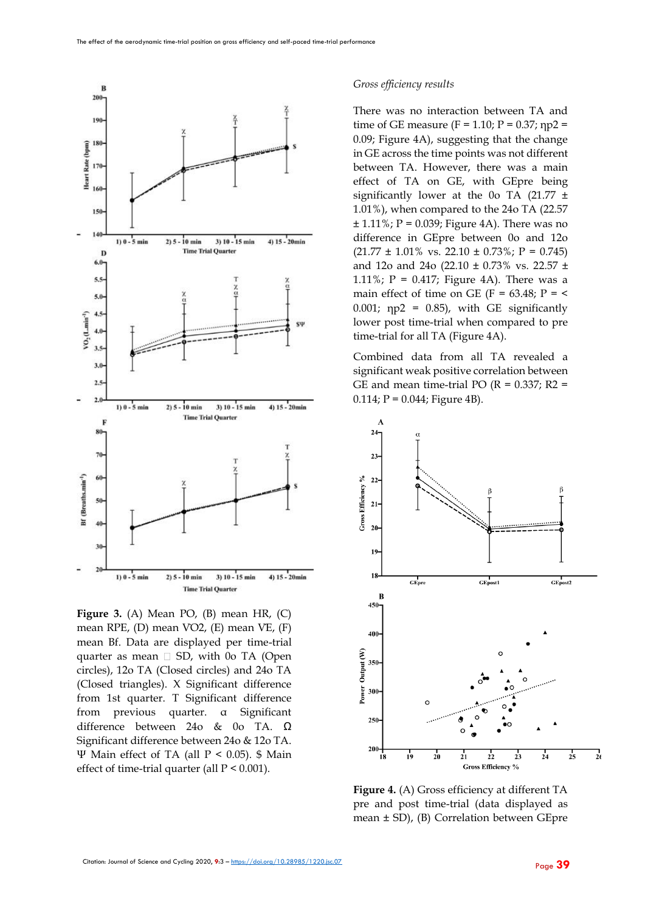

**Figure 3.** (A) Mean PO, (B) mean HR, (C) mean RPE, (D) mean V̇O2, (E) mean V̇E, (F) mean Bf. Data are displayed per time-trial quarter as mean  $\square$  SD, with 0o TA (Open circles), 12o TA (Closed circles) and 24o TA (Closed triangles). X Significant difference from 1st quarter. T Significant difference from previous quarter. α Significant difference between 24o & 0o TA. Ω Significant difference between 24o & 12o TA. Ψ Main effect of TA (all P < 0.05). \$ Main effect of time-trial quarter (all  $P < 0.001$ ).

#### *Gross efficiency results*

There was no interaction between TA and time of GE measure (F = 1.10; P = 0.37;  $np2 =$ 0.09; Figure 4A), suggesting that the change in GE across the time points was not different between TA. However, there was a main effect of TA on GE, with GEpre being significantly lower at the 0o TA  $(21.77 \pm$ 1.01%), when compared to the 24o TA (22.57  $± 1.11\%$ ; P = 0.039; Figure 4A). There was no difference in GEpre between 0o and 12o  $(21.77 \pm 1.01\% \text{ vs. } 22.10 \pm 0.73\% \text{ ; } P = 0.745)$ and 12o and 24o (22.10 ± 0.73% vs. 22.57 ± 1.11%;  $P = 0.417$ ; Figure 4A). There was a main effect of time on GE (F =  $63.48$ ; P =  $\lt$ 0.001;  $np2 = 0.85$ ), with GE significantly lower post time-trial when compared to pre time-trial for all TA (Figure 4A).

Combined data from all TA revealed a significant weak positive correlation between GE and mean time-trial PO ( $R = 0.337$ ;  $R2 =$  $0.114; P = 0.044;$  Figure 4B).



**Figure 4.** (A) Gross efficiency at different TA pre and post time-trial (data displayed as mean ± SD), (B) Correlation between GEpre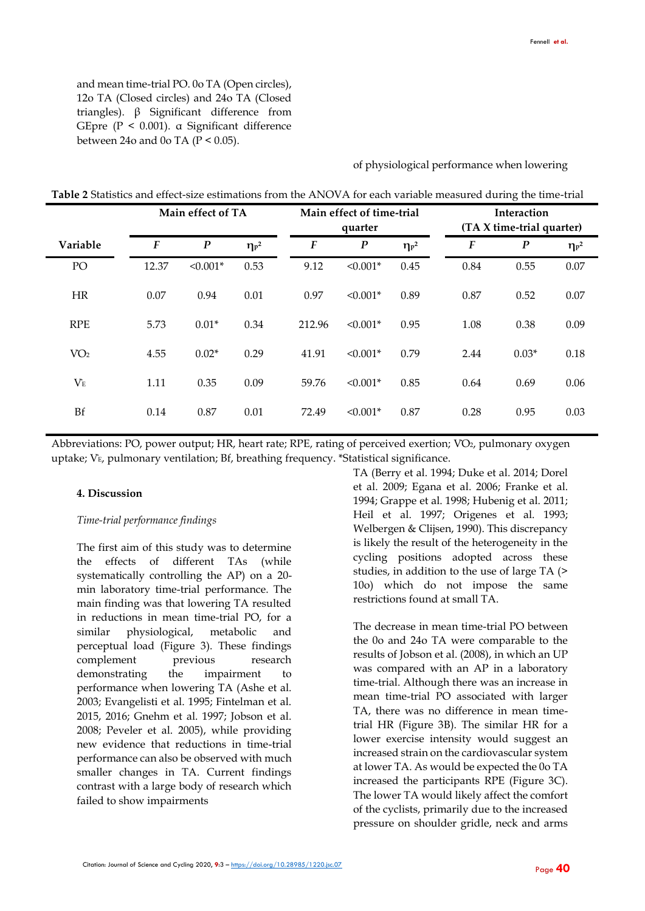and mean time-trial PO. 0o TA (Open circles), 12o TA (Closed circles) and 24o TA (Closed triangles). β Significant difference from GEpre (P < 0.001). α Significant difference between 24o and 0o TA ( $P < 0.05$ ).

of physiological performance when lowering

| Table 2 Statistics and effect-size estimations from the ANOVA for each variable measured during the time-trial |  |
|----------------------------------------------------------------------------------------------------------------|--|
|----------------------------------------------------------------------------------------------------------------|--|

|                 |                  | Main effect of TA | Main effect of time-trial<br>quarter |        |                  | Interaction<br>(TA X time-trial quarter) |                  |                  |              |
|-----------------|------------------|-------------------|--------------------------------------|--------|------------------|------------------------------------------|------------------|------------------|--------------|
| Variable        | $\boldsymbol{F}$ | $\boldsymbol{P}$  | $\eta_P{}^2$                         | F      | $\boldsymbol{P}$ | $\eta_{p^2}$                             | $\boldsymbol{F}$ | $\boldsymbol{P}$ | $\eta_{p^2}$ |
| PO              | 12.37            | $< 0.001*$        | 0.53                                 | 9.12   | $< 0.001*$       | 0.45                                     | 0.84             | 0.55             | 0.07         |
| <b>HR</b>       | 0.07             | 0.94              | 0.01                                 | 0.97   | $< 0.001*$       | 0.89                                     | 0.87             | 0.52             | 0.07         |
| <b>RPE</b>      | 5.73             | $0.01*$           | 0.34                                 | 212.96 | $< 0.001*$       | 0.95                                     | 1.08             | 0.38             | 0.09         |
| VO <sub>2</sub> | 4.55             | $0.02*$           | 0.29                                 | 41.91  | $< 0.001*$       | 0.79                                     | 2.44             | $0.03*$          | 0.18         |
| $V_{E}$         | 1.11             | 0.35              | 0.09                                 | 59.76  | $< 0.001*$       | 0.85                                     | 0.64             | 0.69             | 0.06         |
| Bf              | 0.14             | 0.87              | 0.01                                 | 72.49  | $< 0.001*$       | 0.87                                     | 0.28             | 0.95             | 0.03         |

Abbreviations: PO, power output; HR, heart rate; RPE, rating of perceived exertion; VO<sub>2</sub>, pulmonary oxygen uptake; V̇E, pulmonary ventilation; Bf, breathing frequency. \*Statistical significance.

#### **4. Discussion**

#### *Time-trial performance findings*

The first aim of this study was to determine the effects of different TAs (while systematically controlling the AP) on a 20 min laboratory time-trial performance. The main finding was that lowering TA resulted in reductions in mean time-trial PO, for a similar physiological, metabolic and perceptual load (Figure 3). These findings complement previous research demonstrating the impairment to performance when lowering TA (Ashe et al. 2003; Evangelisti et al. 1995; Fintelman et al. 2015, 2016; Gnehm et al. 1997; Jobson et al. 2008; Peveler et al. 2005), while providing new evidence that reductions in time-trial performance can also be observed with much smaller changes in TA. Current findings contrast with a large body of research which failed to show impairments

TA (Berry et al. 1994; Duke et al. 2014; Dorel et al. 2009; Egana et al. 2006; Franke et al. 1994; Grappe et al. 1998; Hubenig et al. 2011; Heil et al. 1997; Origenes et al. 1993; Welbergen & Clijsen, 1990). This discrepancy is likely the result of the heterogeneity in the cycling positions adopted across these studies, in addition to the use of large TA (> 10o) which do not impose the same restrictions found at small TA.

The decrease in mean time-trial PO between the 0o and 24o TA were comparable to the results of Jobson et al. (2008), in which an UP was compared with an AP in a laboratory time-trial. Although there was an increase in mean time-trial PO associated with larger TA, there was no difference in mean timetrial HR (Figure 3B). The similar HR for a lower exercise intensity would suggest an increased strain on the cardiovascular system at lower TA. As would be expected the 0o TA increased the participants RPE (Figure 3C). The lower TA would likely affect the comfort of the cyclists, primarily due to the increased pressure on shoulder gridle, neck and arms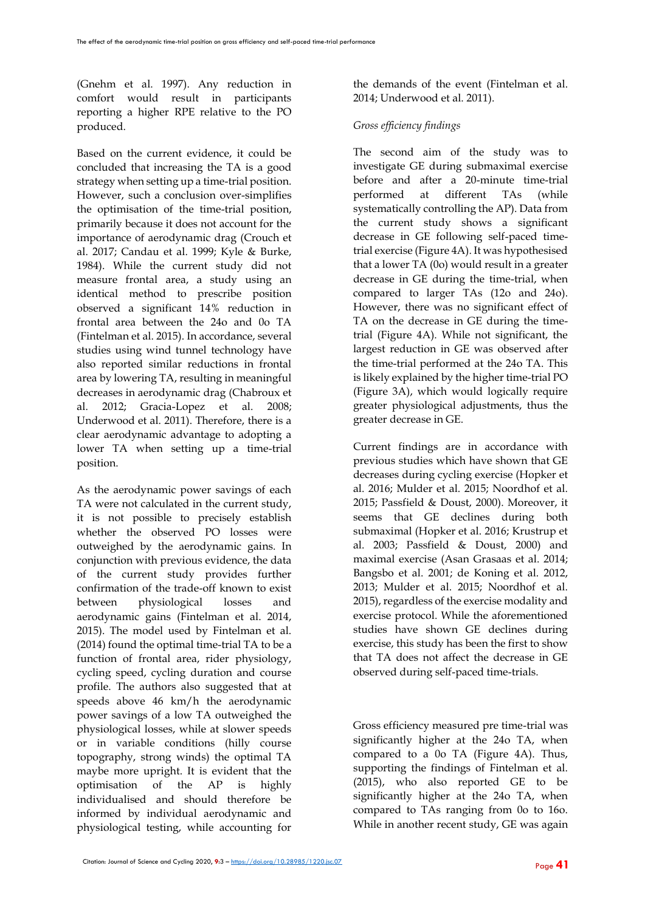(Gnehm et al. 1997). Any reduction in comfort would result in participants reporting a higher RPE relative to the PO produced.

Based on the current evidence, it could be concluded that increasing the TA is a good strategy when setting up a time-trial position. However, such a conclusion over-simplifies the optimisation of the time-trial position, primarily because it does not account for the importance of aerodynamic drag (Crouch et al. 2017; Candau et al. 1999; Kyle & Burke, 1984). While the current study did not measure frontal area, a study using an identical method to prescribe position observed a significant 14% reduction in frontal area between the 24o and 0o TA (Fintelman et al. 2015). In accordance, several studies using wind tunnel technology have also reported similar reductions in frontal area by lowering TA, resulting in meaningful decreases in aerodynamic drag (Chabroux et al. 2012; Gracia-Lopez et al. 2008; Underwood et al. 2011). Therefore, there is a clear aerodynamic advantage to adopting a lower TA when setting up a time-trial position.

As the aerodynamic power savings of each TA were not calculated in the current study, it is not possible to precisely establish whether the observed PO losses were outweighed by the aerodynamic gains. In conjunction with previous evidence, the data of the current study provides further confirmation of the trade-off known to exist between physiological losses and aerodynamic gains (Fintelman et al. 2014, 2015). The model used by Fintelman et al. (2014) found the optimal time-trial TA to be a function of frontal area, rider physiology, cycling speed, cycling duration and course profile. The authors also suggested that at speeds above 46 km/h the aerodynamic power savings of a low TA outweighed the physiological losses, while at slower speeds or in variable conditions (hilly course topography, strong winds) the optimal TA maybe more upright. It is evident that the optimisation of the AP is highly individualised and should therefore be informed by individual aerodynamic and physiological testing, while accounting for

the demands of the event (Fintelman et al. 2014; Underwood et al. 2011).

## *Gross efficiency findings*

The second aim of the study was to investigate GE during submaximal exercise before and after a 20-minute time-trial performed at different TAs (while systematically controlling the AP). Data from the current study shows a significant decrease in GE following self-paced timetrial exercise (Figure 4A). It was hypothesised that a lower TA (0o) would result in a greater decrease in GE during the time-trial, when compared to larger TAs (12o and 24o). However, there was no significant effect of TA on the decrease in GE during the timetrial (Figure 4A). While not significant, the largest reduction in GE was observed after the time-trial performed at the 24o TA. This is likely explained by the higher time-trial PO (Figure 3A), which would logically require greater physiological adjustments, thus the greater decrease in GE.

Current findings are in accordance with previous studies which have shown that GE decreases during cycling exercise (Hopker et al. 2016; Mulder et al. 2015; Noordhof et al. 2015; Passfield & Doust, 2000). Moreover, it seems that GE declines during both submaximal (Hopker et al. 2016; Krustrup et al. 2003; Passfield & Doust, 2000) and maximal exercise (Asan Grasaas et al. 2014; Bangsbo et al. 2001; de Koning et al. 2012, 2013; Mulder et al. 2015; Noordhof et al. 2015), regardless of the exercise modality and exercise protocol. While the aforementioned studies have shown GE declines during exercise, this study has been the first to show that TA does not affect the decrease in GE observed during self-paced time-trials.

Gross efficiency measured pre time-trial was significantly higher at the 24o TA, when compared to a 0o TA (Figure 4A). Thus, supporting the findings of Fintelman et al. (2015), who also reported GE to be significantly higher at the 24o TA, when compared to TAs ranging from 0o to 16o. While in another recent study, GE was again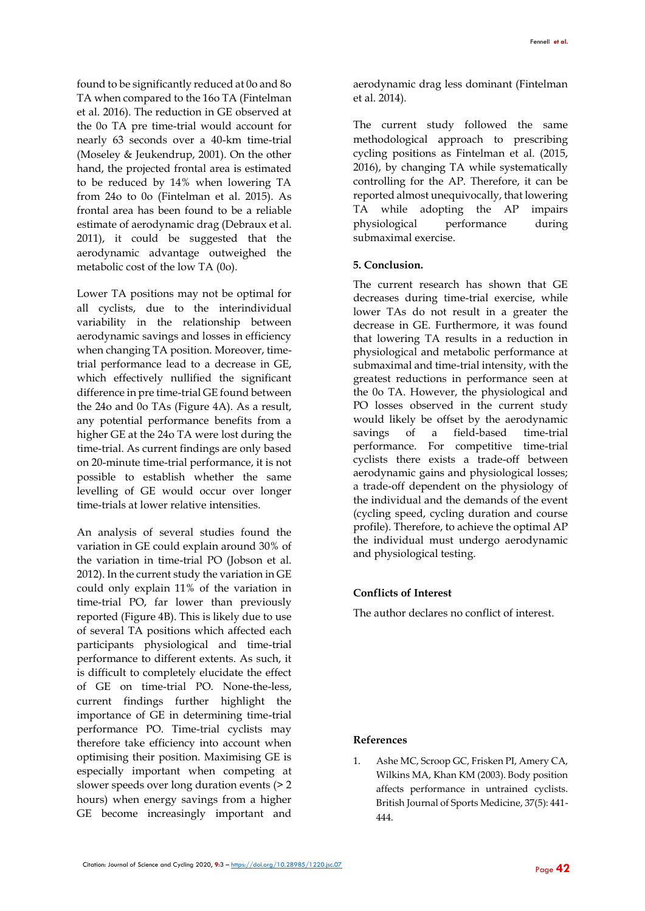found to be significantly reduced at 0o and 8o TA when compared to the 16o TA (Fintelman et al. 2016). The reduction in GE observed at the 0o TA pre time-trial would account for nearly 63 seconds over a 40-km time-trial (Moseley & Jeukendrup, 2001). On the other hand, the projected frontal area is estimated to be reduced by 14% when lowering TA from 24o to 0o (Fintelman et al. 2015). As frontal area has been found to be a reliable estimate of aerodynamic drag (Debraux et al. 2011), it could be suggested that the aerodynamic advantage outweighed the metabolic cost of the low TA (0o).

Lower TA positions may not be optimal for all cyclists, due to the interindividual variability in the relationship between aerodynamic savings and losses in efficiency when changing TA position. Moreover, timetrial performance lead to a decrease in GE, which effectively nullified the significant difference in pre time-trial GE found between the 24o and 0o TAs (Figure 4A). As a result, any potential performance benefits from a higher GE at the 24o TA were lost during the time-trial. As current findings are only based on 20-minute time-trial performance, it is not possible to establish whether the same levelling of GE would occur over longer time-trials at lower relative intensities.

An analysis of several studies found the variation in GE could explain around 30% of the variation in time-trial PO (Jobson et al. 2012). In the current study the variation in GE could only explain 11% of the variation in time-trial PO, far lower than previously reported (Figure 4B). This is likely due to use of several TA positions which affected each participants physiological and time-trial performance to different extents. As such, it is difficult to completely elucidate the effect of GE on time-trial PO. None-the-less, current findings further highlight the importance of GE in determining time-trial performance PO. Time-trial cyclists may therefore take efficiency into account when optimising their position. Maximising GE is especially important when competing at slower speeds over long duration events (> 2 hours) when energy savings from a higher GE become increasingly important and aerodynamic drag less dominant (Fintelman et al. 2014).

The current study followed the same methodological approach to prescribing cycling positions as Fintelman et al. (2015, 2016), by changing TA while systematically controlling for the AP. Therefore, it can be reported almost unequivocally, that lowering TA while adopting the AP impairs physiological performance during submaximal exercise.

### **5. Conclusion.**

The current research has shown that GE decreases during time-trial exercise, while lower TAs do not result in a greater the decrease in GE. Furthermore, it was found that lowering TA results in a reduction in physiological and metabolic performance at submaximal and time-trial intensity, with the greatest reductions in performance seen at the 0o TA. However, the physiological and PO losses observed in the current study would likely be offset by the aerodynamic savings of a field-based time-trial performance. For competitive time-trial cyclists there exists a trade-off between aerodynamic gains and physiological losses; a trade-off dependent on the physiology of the individual and the demands of the event (cycling speed, cycling duration and course profile). Therefore, to achieve the optimal AP the individual must undergo aerodynamic and physiological testing.

#### **Conflicts of Interest**

The author declares no conflict of interest.

#### **References**

1. Ashe MC, Scroop GC, Frisken PI, Amery CA, Wilkins MA, Khan KM (2003). Body position affects performance in untrained cyclists. British Journal of Sports Medicine, 37(5): 441- 444.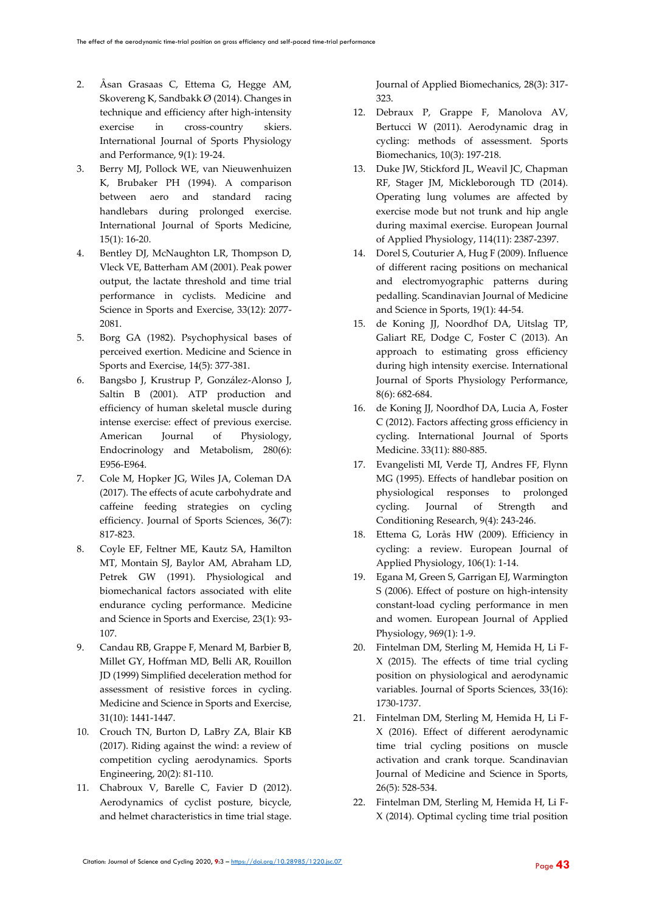- 2. Åsan Grasaas C, Ettema G, Hegge AM, Skovereng K, Sandbakk Ø (2014). Changes in technique and efficiency after high-intensity exercise in cross-country skiers. International Journal of Sports Physiology and Performance, 9(1): 19-24.
- 3. Berry MJ, Pollock WE, van Nieuwenhuizen K, Brubaker PH (1994). A comparison between aero and standard racing handlebars during prolonged exercise. International Journal of Sports Medicine, 15(1): 16-20.
- 4. Bentley DJ, McNaughton LR, Thompson D, Vleck VE, Batterham AM (2001). Peak power output, the lactate threshold and time trial performance in cyclists. Medicine and Science in Sports and Exercise, 33(12): 2077- 2081.
- 5. Borg GA (1982). Psychophysical bases of perceived exertion. Medicine and Science in Sports and Exercise, 14(5): 377-381.
- 6. Bangsbo J, Krustrup P, González-Alonso J, Saltin B (2001). ATP production and efficiency of human skeletal muscle during intense exercise: effect of previous exercise. American Journal of Physiology, Endocrinology and Metabolism, 280(6): E956-E964.
- 7. Cole M, Hopker JG, Wiles JA, Coleman DA (2017). The effects of acute carbohydrate and caffeine feeding strategies on cycling efficiency. Journal of Sports Sciences, 36(7): 817-823.
- 8. Coyle EF, Feltner ME, Kautz SA, Hamilton MT, Montain SJ, Baylor AM, Abraham LD, Petrek GW (1991). Physiological and biomechanical factors associated with elite endurance cycling performance. Medicine and Science in Sports and Exercise, 23(1): 93- 107.
- 9. Candau RB, Grappe F, Menard M, Barbier B, Millet GY, Hoffman MD, Belli AR, Rouillon JD (1999) Simplified deceleration method for assessment of resistive forces in cycling. Medicine and Science in Sports and Exercise, 31(10): 1441-1447.
- 10. Crouch TN, Burton D, LaBry ZA, Blair KB (2017). Riding against the wind: a review of competition cycling aerodynamics. Sports Engineering, 20(2): 81-110.
- 11. Chabroux V, Barelle C, Favier D (2012). Aerodynamics of cyclist posture, bicycle, and helmet characteristics in time trial stage.

Journal of Applied Biomechanics, 28(3): 317- 323.

- 12. Debraux P, Grappe F, Manolova AV, Bertucci W (2011). Aerodynamic drag in cycling: methods of assessment. Sports Biomechanics, 10(3): 197-218.
- 13. Duke JW, Stickford JL, Weavil JC, Chapman RF, Stager JM, Mickleborough TD (2014). Operating lung volumes are affected by exercise mode but not trunk and hip angle during maximal exercise. European Journal of Applied Physiology, 114(11): 2387-2397.
- 14. Dorel S, Couturier A, Hug F (2009). Influence of different racing positions on mechanical and electromyographic patterns during pedalling. Scandinavian Journal of Medicine and Science in Sports, 19(1): 44-54.
- 15. de Koning JJ, Noordhof DA, Uitslag TP, Galiart RE, Dodge C, Foster C (2013). An approach to estimating gross efficiency during high intensity exercise. International Journal of Sports Physiology Performance, 8(6): 682-684.
- 16. de Koning JJ, Noordhof DA, Lucia A, Foster C (2012). Factors affecting gross efficiency in cycling. International Journal of Sports Medicine. 33(11): 880-885.
- 17. Evangelisti MI, Verde TJ, Andres FF, Flynn MG (1995). Effects of handlebar position on physiological responses to prolonged cycling. Journal of Strength and Conditioning Research, 9(4): 243-246.
- 18. Ettema G, Lorås HW (2009). Efficiency in cycling: a review. European Journal of Applied Physiology, 106(1): 1-14.
- 19. Egana M, Green S, Garrigan EJ, Warmington S (2006). Effect of posture on high-intensity constant-load cycling performance in men and women. European Journal of Applied Physiology, 969(1): 1-9.
- 20. Fintelman DM, Sterling M, Hemida H, Li F-X (2015). The effects of time trial cycling position on physiological and aerodynamic variables. Journal of Sports Sciences, 33(16): 1730-1737.
- 21. Fintelman DM, Sterling M, Hemida H, Li F-X (2016). Effect of different aerodynamic time trial cycling positions on muscle activation and crank torque. Scandinavian Journal of Medicine and Science in Sports, 26(5): 528-534.
- 22. Fintelman DM, Sterling M, Hemida H, Li F-X (2014). Optimal cycling time trial position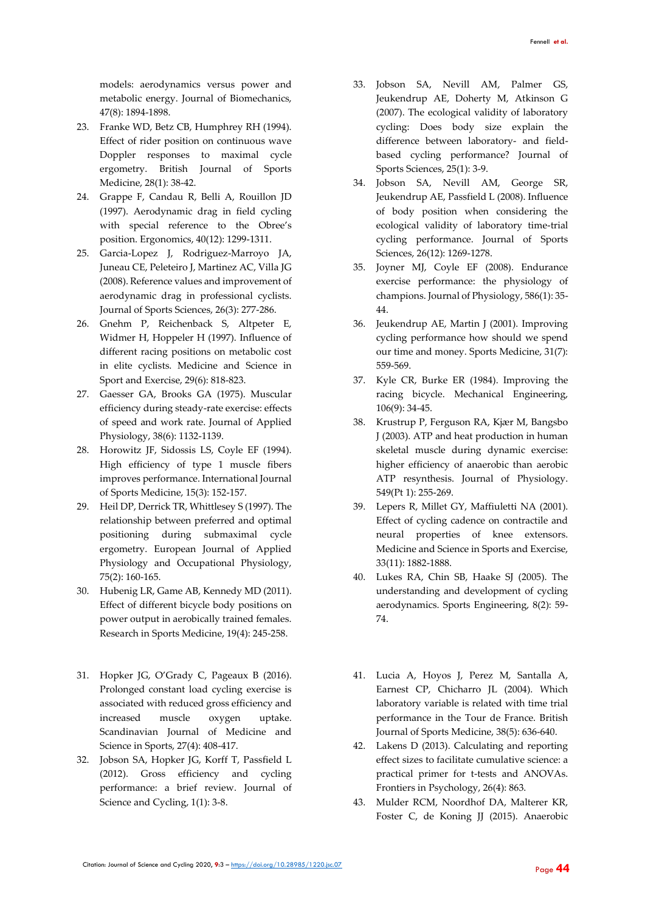models: aerodynamics versus power and metabolic energy. Journal of Biomechanics, 47(8): 1894-1898.

- 23. Franke WD, Betz CB, Humphrey RH (1994). Effect of rider position on continuous wave Doppler responses to maximal cycle ergometry. British Journal of Sports Medicine, 28(1): 38-42.
- 24. Grappe F, Candau R, Belli A, Rouillon JD (1997). Aerodynamic drag in field cycling with special reference to the Obree's position. Ergonomics, 40(12): 1299-1311.
- 25. Garcia-Lopez J, Rodriguez-Marroyo JA, Juneau CE, Peleteiro J, Martinez AC, Villa JG (2008). Reference values and improvement of aerodynamic drag in professional cyclists. Journal of Sports Sciences, 26(3): 277-286.
- 26. Gnehm P, Reichenback S, Altpeter E, Widmer H, Hoppeler H (1997). Influence of different racing positions on metabolic cost in elite cyclists. Medicine and Science in Sport and Exercise, 29(6): 818-823.
- 27. Gaesser GA, Brooks GA (1975). Muscular efficiency during steady-rate exercise: effects of speed and work rate. Journal of Applied Physiology, 38(6): 1132-1139.
- 28. Horowitz JF, Sidossis LS, Coyle EF (1994). High efficiency of type 1 muscle fibers improves performance. International Journal of Sports Medicine, 15(3): 152-157.
- 29. Heil DP, Derrick TR, Whittlesey S (1997). The relationship between preferred and optimal positioning during submaximal cycle ergometry. European Journal of Applied Physiology and Occupational Physiology, 75(2): 160-165.
- 30. Hubenig LR, Game AB, Kennedy MD (2011). Effect of different bicycle body positions on power output in aerobically trained females. Research in Sports Medicine, 19(4): 245-258.
- 31. Hopker JG, O'Grady C, Pageaux B (2016). Prolonged constant load cycling exercise is associated with reduced gross efficiency and increased muscle oxygen uptake. Scandinavian Journal of Medicine and Science in Sports, 27(4): 408-417.
- 32. Jobson SA, Hopker JG, Korff T, Passfield L (2012). Gross efficiency and cycling performance: a brief review. Journal of Science and Cycling, 1(1): 3-8.
- 33. Jobson SA, Nevill AM, Palmer GS, Jeukendrup AE, Doherty M, Atkinson G (2007). The ecological validity of laboratory cycling: Does body size explain the difference between laboratory- and fieldbased cycling performance? Journal of Sports Sciences, 25(1): 3-9.
- 34. Jobson SA, Nevill AM, George SR, Jeukendrup AE, Passfield L (2008). Influence of body position when considering the ecological validity of laboratory time-trial cycling performance. Journal of Sports Sciences, 26(12): 1269-1278.
- 35. Joyner MJ, Coyle EF (2008). Endurance exercise performance: the physiology of champions. Journal of Physiology, 586(1): 35- 44.
- 36. Jeukendrup AE, Martin J (2001). Improving cycling performance how should we spend our time and money. Sports Medicine, 31(7): 559-569.
- 37. Kyle CR, Burke ER (1984). Improving the racing bicycle. Mechanical Engineering, 106(9): 34-45.
- 38. Krustrup P, Ferguson RA, Kjær M, Bangsbo J (2003). ATP and heat production in human skeletal muscle during dynamic exercise: higher efficiency of anaerobic than aerobic ATP resynthesis. Journal of Physiology. 549(Pt 1): 255-269.
- 39. Lepers R, Millet GY, Maffiuletti NA (2001). Effect of cycling cadence on contractile and neural properties of knee extensors. Medicine and Science in Sports and Exercise, 33(11): 1882-1888.
- 40. Lukes RA, Chin SB, Haake SJ (2005). The understanding and development of cycling aerodynamics. Sports Engineering, 8(2): 59- 74.
- 41. Lucia A, Hoyos J, Perez M, Santalla A, Earnest CP, Chicharro JL (2004). Which laboratory variable is related with time trial performance in the Tour de France. British Journal of Sports Medicine, 38(5): 636-640.
- 42. Lakens D (2013). Calculating and reporting effect sizes to facilitate cumulative science: a practical primer for t-tests and ANOVAs. Frontiers in Psychology, 26(4): 863.
- 43. Mulder RCM, Noordhof DA, Malterer KR, Foster C, de Koning JJ (2015). Anaerobic